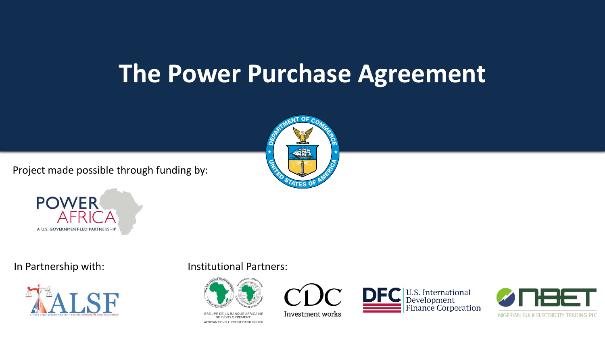### **The Power Purchase Agreement**

Project made possible through funding by:







### In Partnership with: Institutional Partners:



GROUPE DE LA BANQUE AFRICAINE DE DÉVELOPPEMENT AFRICAN DEVELOPMENT BANK GROUP



Investment works



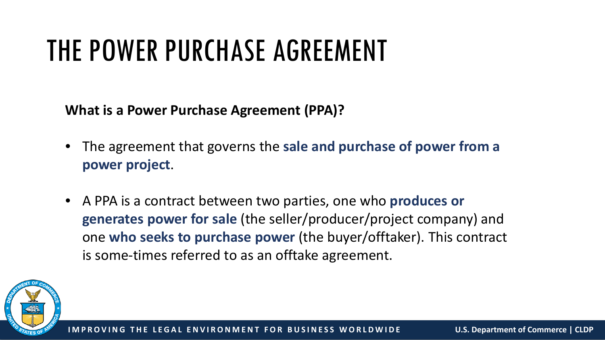## THE POWER PURCHASE AGREEMENT

**What is a Power Purchase Agreement (PPA)?**

- The agreement that governs the **sale and purchase of power from a power project**.
- A PPA is a contract between two parties, one who **produces or generates power for sale** (the seller/producer/project company) and one **who seeks to purchase power** (the buyer/offtaker). This contract is some-times referred to as an offtake agreement.

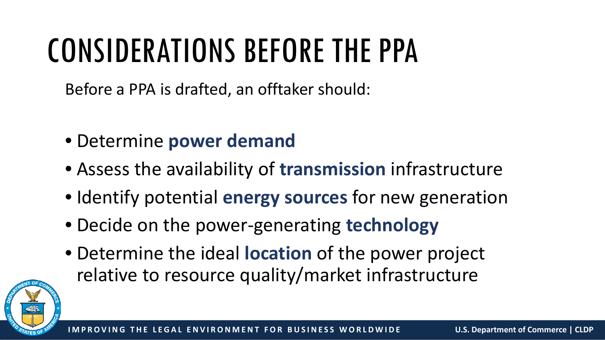# CONSIDERATIONS BEFORE THE PPA

Before a PPA is drafted, an offtaker should:

- Determine **power demand**
- Assess the availability of **transmission** infrastructure
- Identify potential **energy sources** for new generation
- Decide on the power-generating **technology**
- Determine the ideal **location** of the power project relative to resource quality/market infrastructure

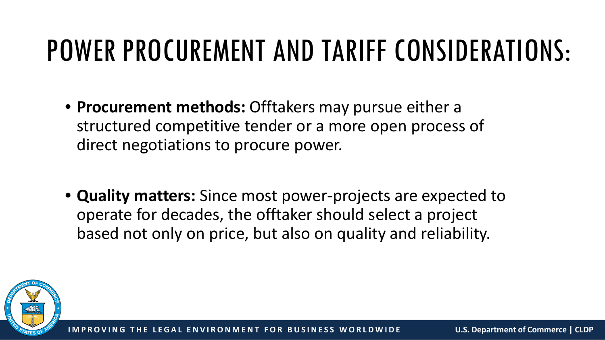## POWER PROCUREMENT AND TARIFF CONSIDERATIONS:

- **Procurement methods:** Offtakers may pursue either a structured competitive tender or a more open process of direct negotiations to procure power.
- **Quality matters:** Since most power-projects are expected to operate for decades, the offtaker should select a project based not only on price, but also on quality and reliability.

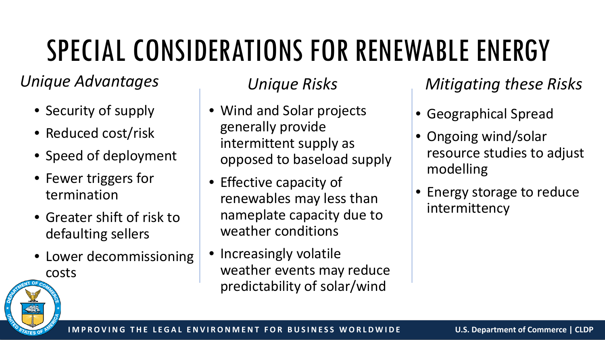# SPECIAL CONSIDERATIONS FOR RENEWABLE ENERGY

### *Unique Advantages*

- Security of supply
- Reduced cost/risk
- Speed of deployment
- Fewer triggers for termination
- Greater shift of risk to defaulting sellers
- Lower decommissioning costs

- Wind and Solar projects generally provide intermittent supply as opposed to baseload supply
- Effective capacity of renewables may less than nameplate capacity due to weather conditions
- Increasingly volatile weather events may reduce predictability of solar/wind

### *Unique Risks Mitigating these Risks*

- Geographical Spread
- Ongoing wind/solar resource studies to adjust modelling
- Energy storage to reduce intermittency

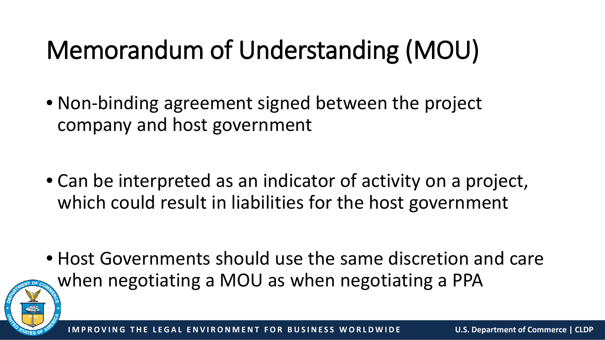## Memorandum of Understanding (MOU)

• Non-binding agreement signed between the project company and host government

• Can be interpreted as an indicator of activity on a project, which could result in liabilities for the host government

• Host Governments should use the same discretion and care when negotiating a MOU as when negotiating a PPA

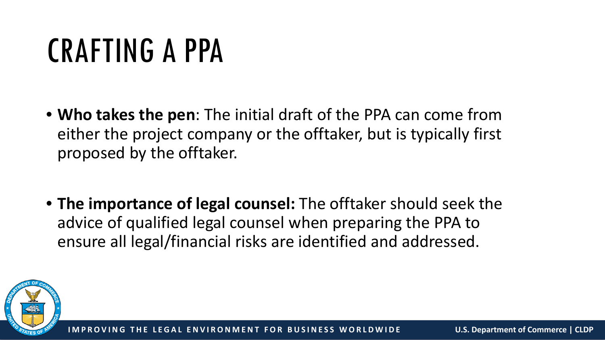# CRAFTING A PPA

- **Who takes the pen**: The initial draft of the PPA can come from either the project company or the offtaker, but is typically first proposed by the offtaker.
- **The importance of legal counsel:** The offtaker should seek the advice of qualified legal counsel when preparing the PPA to ensure all legal/financial risks are identified and addressed.

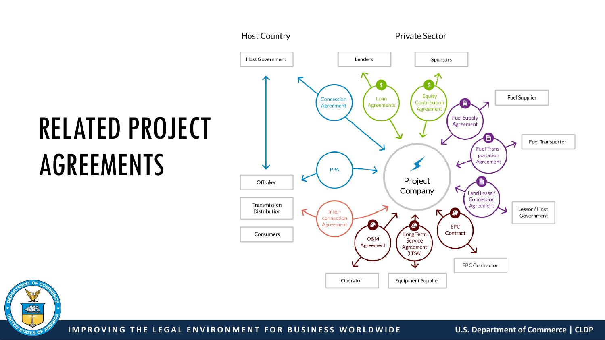# RELATED PROJECT AGREEMENTS





**IMPROVING THE LEGAL ENVIRONMENT FOR BUSINESS WORLDWIDE U.S. Department of Commerce | CLDP**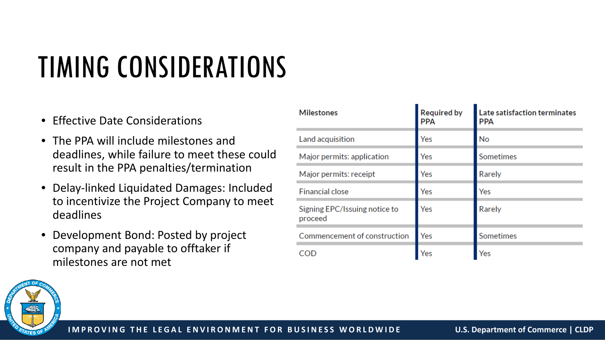# TIMING CONSIDERATIONS

- Effective Date Considerations
- The PPA will include milestones and deadlines, while failure to meet these could result in the PPA penalties/termination
- Delay-linked Liquidated Damages: Included to incentivize the Project Company to meet deadlines
- Development Bond: Posted by project company and payable to offtaker if milestones are not met

| <b>Milestones</b>                        | <b>Required by</b><br><b>PPA</b> | Late satisfaction terminates<br><b>PPA</b> |
|------------------------------------------|----------------------------------|--------------------------------------------|
| Land acquisition                         | Yes                              | No                                         |
| Major permits: application               | Yes                              | Sometimes                                  |
| Major permits: receipt                   | Yes                              | Rarely                                     |
| <b>Financial close</b>                   | Yes                              | Yes                                        |
| Signing EPC/Issuing notice to<br>proceed | Yes                              | Rarely                                     |
| Commencement of construction             | Yes                              | Sometimes                                  |
| COD                                      | Yes                              | Yes                                        |